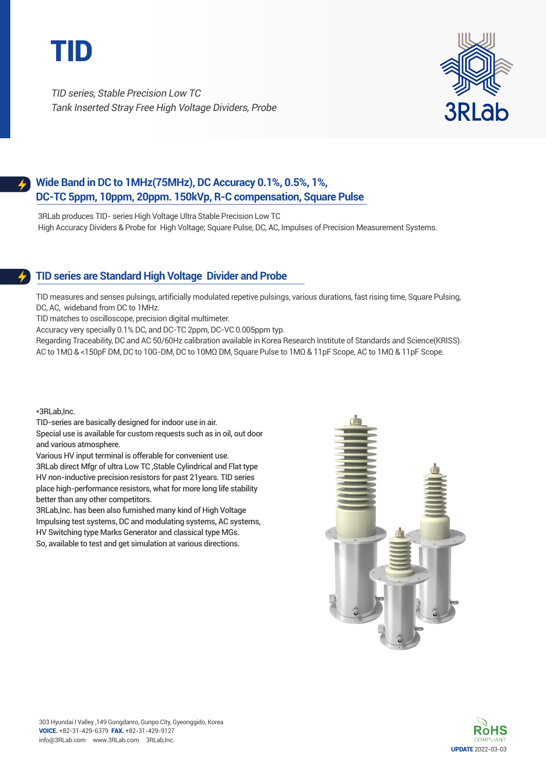

TID series, Stable Precision Low TC Tank Inserted Stray Free High Voltage Dividers, Probe



## **Wide Band in DC to 1MHz(75MHz), DC Accuracy 0.1%, 0.5%, 1%, DC-TC 5ppm, 10ppm, 20ppm. 150kVp, R-C compensation, Square Pulse**

3RLab produces TID- series High Voltage Ultra Stable Precision Low TC High Accuracy Dividers & Probe for High Voltage; Square Pulse, DC, AC, Impulses of Precision Measurement Systems.

## **TID series are Standard High Voltage Divider and Probe**

TID measures and senses pulsings, artificially modulated repetive pulsings, various durations, fast rising time, Square Pulsing, DC, AC, wideband from DC to 1MHz.

TID matches to oscilloscope, precision digital multimeter.

Accuracy very specially 0.1% DC, and DC-TC 2ppm, DC-VC 0.005ppm typ.

Regarding Traceability, DC and AC 50/60Hz calibration available in Korea Research Institute of Standards and Science(KRISS). AC to 1MΩ & <150pF DM, DC to 10G-DM, DC to 10MΩ DM, Square Pulse to 1MΩ & 11pF Scope, AC to 1MΩ & 11pF Scope.

\*3RLab,Inc.

TID-series are basically designed for indoor use in air. Special use is available for custom requests such as in oil, out door and various atmosphere.

Various HV input terminal is offerable for convenient use. 3RLab direct Mfgr of ultra Low TC ,Stable Cylindrical and Flat type HV non-inductive precision resistors for past 21years. TID series place high-performance resistors, what for more long life stability better than any other competitors.

3RLab,Inc. has been also furnished many kind of High Voltage Impulsing test systems, DC and modulating systems, AC systems, HV Switching type Marks Generator and classical type MGs. So, available to test and get simulation at various directions.



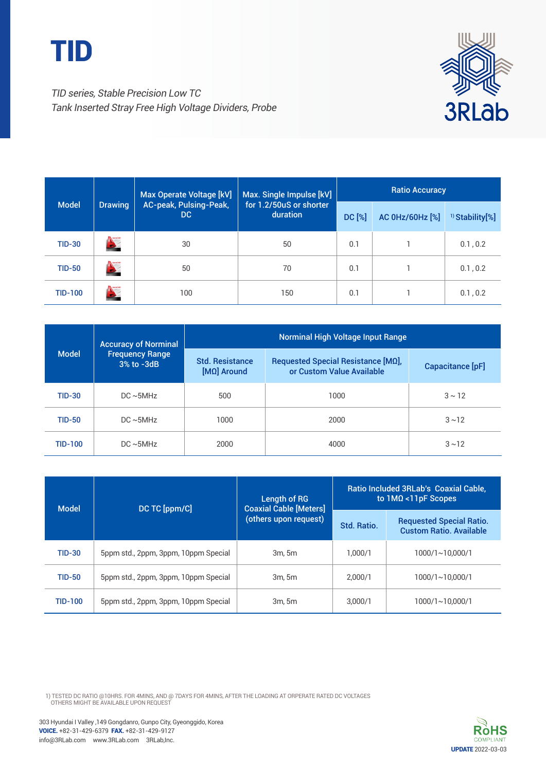



TID series, Stable Precision Low TC Tank Inserted Stray Free High Voltage Dividers, Probe

|                |                | Max Operate Voltage [kV]                                                       | Max. Single Impulse [kV] | <b>Ratio Accuracy</b> |                            |          |
|----------------|----------------|--------------------------------------------------------------------------------|--------------------------|-----------------------|----------------------------|----------|
| <b>Model</b>   | <b>Drawing</b> | AC-peak, Pulsing-Peak,<br>for 1.2/50uS or shorter<br>DC.<br>duration<br>DC [%] |                          | AC 0Hz/60Hz [%]       | <sup>1)</sup> Stability[%] |          |
| <b>TID-30</b>  |                | 30                                                                             | 50                       | 0.1                   |                            | 0.1, 0.2 |
| <b>TID-50</b>  |                | 50                                                                             | 70                       | 0.1                   |                            | 0.1, 0.2 |
| <b>TID-100</b> |                | 100                                                                            | 150                      | 0.1                   |                            | 0.1, 0.2 |

| <b>Model</b>   | <b>Accuracy of Norminal</b><br><b>Frequency Range</b><br>3% to -3dB | <b>Norminal High Voltage Input Range</b> |                                                                 |                  |  |
|----------------|---------------------------------------------------------------------|------------------------------------------|-----------------------------------------------------------------|------------------|--|
|                |                                                                     | <b>Std. Resistance</b><br>[MΩ] Around    | Requested Special Resistance [MQ],<br>or Custom Value Available | Capacitance [pF] |  |
| <b>TID-30</b>  | $DC \sim 5MHz$                                                      | 500                                      | 1000                                                            | $3 \sim 12$      |  |
| <b>TID-50</b>  | $DC \sim 5MHz$                                                      | 1000                                     | 2000                                                            | $3 \sim 12$      |  |
| <b>TID-100</b> | $DC \sim 5MHz$                                                      | 2000                                     | 4000                                                            | $3 \sim 12$      |  |

| <b>Model</b>   | DC TC [ppm/C]                        | Length of RG<br><b>Coaxial Cable [Meters]</b> | Ratio Included 3RLab's Coaxial Cable,<br>to $1M\Omega$ < $11pF$ Scopes |                                                                   |  |
|----------------|--------------------------------------|-----------------------------------------------|------------------------------------------------------------------------|-------------------------------------------------------------------|--|
|                |                                      | (others upon request)                         | Std. Ratio.                                                            | <b>Requested Special Ratio.</b><br><b>Custom Ratio, Available</b> |  |
| <b>TID-30</b>  | 5ppm std., 2ppm, 3ppm, 10ppm Special | 3m.5m                                         | 1.000/1                                                                | 1000/1~10.000/1                                                   |  |
| <b>TID-50</b>  | 5ppm std., 2ppm, 3ppm, 10ppm Special | 3m.5m                                         | 2.000/1                                                                | 1000/1~10.000/1                                                   |  |
| <b>TID-100</b> | 5ppm std., 2ppm, 3ppm, 10ppm Special | 3m.5m                                         | 3.000/1                                                                | 1000/1~10.000/1                                                   |  |

1) TESTED DC RATIO @10HRS. FOR 4MINS, AND @ 7DAYS FOR 4MINS, AFTER THE LOADING AT ORPERATE RATED DC VOLTAGES<br>OTHERS MIGHT BE AVAILABLE UPON REQUEST